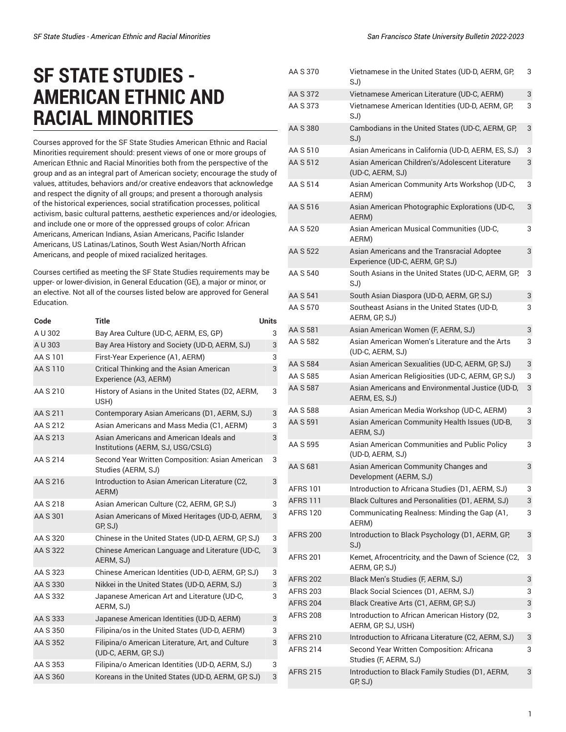## **SF STATE STUDIES - AMERICAN ETHNIC AND RACIAL MINORITIES**

Courses approved for the SF State Studies American Ethnic and Racial Minorities requirement should: present views of one or more groups of American Ethnic and Racial Minorities both from the perspective of the group and as an integral part of American society; encourage the study of values, attitudes, behaviors and/or creative endeavors that acknowledge and respect the dignity of all groups; and present a thorough analysis of the historical experiences, social stratification processes, political activism, basic cultural patterns, aesthetic experiences and/or ideologies, and include one or more of the oppressed groups of color: African Americans, American Indians, Asian Americans, Pacific Islander Americans, US Latinas/Latinos, South West Asian/North African Americans, and people of mixed racialized heritages.

Courses certified as meeting the SF State Studies requirements may be upper- or lower-division, in General Education (GE), a major or minor, or an elective. Not all of the courses listed below are approved for General Education.

| Code     | <b>Title</b>                                                                 | <b>Units</b> |
|----------|------------------------------------------------------------------------------|--------------|
| A U 302  | Bay Area Culture (UD-C, AERM, ES, GP)                                        | 3            |
| A U 303  | Bay Area History and Society (UD-D, AERM, SJ)                                | 3            |
| AA S 101 | First-Year Experience (A1, AERM)                                             | 3            |
| AA S 110 | Critical Thinking and the Asian American<br>Experience (A3, AERM)            | 3            |
| AA S 210 | History of Asians in the United States (D2, AERM,<br>USH)                    | 3            |
| AA S 211 | Contemporary Asian Americans (D1, AERM, SJ)                                  | 3            |
| AA S 212 | Asian Americans and Mass Media (C1, AERM)                                    | 3            |
| AA S 213 | Asian Americans and American Ideals and<br>Institutions (AERM, SJ, USG/CSLG) | 3            |
| AA S 214 | Second Year Written Composition: Asian American<br>Studies (AERM, SJ)        | 3            |
| AA S 216 | Introduction to Asian American Literature (C2,<br>AERM)                      | 3            |
| AA S 218 | Asian American Culture (C2, AERM, GP, SJ)                                    | 3            |
| AA S 301 | Asian Americans of Mixed Heritages (UD-D, AERM,<br>GP, SJ)                   | 3            |
| AA S 320 | Chinese in the United States (UD-D, AERM, GP, SJ)                            | 3            |
| AA S 322 | Chinese American Language and Literature (UD-C,<br>AERM, SJ)                 | 3            |
| AA S 323 | Chinese American Identities (UD-D, AERM, GP, SJ)                             | 3            |
| AA S 330 | Nikkei in the United States (UD-D, AERM, SJ)                                 | 3            |
| AA S 332 | Japanese American Art and Literature (UD-C,<br>AERM, SJ)                     | 3            |
| AA S 333 | Japanese American Identities (UD-D, AERM)                                    | 3            |
| AA S 350 | Filipina/os in the United States (UD-D, AERM)                                | 3            |
| AA S 352 | Filipina/o American Literature, Art, and Culture<br>(UD-C, AERM, GP, SJ)     | 3            |
| AA S 353 | Filipina/o American Identities (UD-D, AERM, SJ)                              | 3            |
| AA S 360 | Koreans in the United States (UD-D, AERM, GP, SJ)                            | 3            |

| AA S 370        | Vietnamese in the United States (UD-D, AERM, GP,<br>SJ)                        | 3 |
|-----------------|--------------------------------------------------------------------------------|---|
| AA S 372        | Vietnamese American Literature (UD-C, AERM)                                    | 3 |
| AA S 373        | Vietnamese American Identities (UD-D, AERM, GP,<br>SJ)                         | 3 |
| AA S 380        | Cambodians in the United States (UD-C, AERM, GP,<br>SJ)                        | 3 |
| AA S 510        | Asian Americans in California (UD-D, AERM, ES, SJ)                             | 3 |
| AA S 512        | Asian American Children's/Adolescent Literature<br>(UD-C, AERM, SJ)            | 3 |
| AA S 514        | Asian American Community Arts Workshop (UD-C,<br>AERM)                         | 3 |
| AA S 516        | Asian American Photographic Explorations (UD-C,<br>AERM)                       | 3 |
| AA S 520        | Asian American Musical Communities (UD-C,<br>AERM)                             | 3 |
| AA S 522        | Asian Americans and the Transracial Adoptee<br>Experience (UD-C, AERM, GP, SJ) | 3 |
| AA S 540        | South Asians in the United States (UD-C, AERM, GP,<br>SJ)                      | 3 |
| AA S 541        | South Asian Diaspora (UD-D, AERM, GP, SJ)                                      | 3 |
| AA S 570        | Southeast Asians in the United States (UD-D,<br>AERM, GP, SJ)                  | 3 |
| AA S 581        | Asian American Women (F, AERM, SJ)                                             | 3 |
| AA S 582        | Asian American Women's Literature and the Arts<br>(UD-C, AERM, SJ)             | 3 |
| AA S 584        | Asian American Sexualities (UD-C, AERM, GP, SJ)                                | 3 |
| AA S 585        | Asian American Religiosities (UD-C, AERM, GP, SJ)                              | 3 |
| AA S 587        | Asian Americans and Environmental Justice (UD-D,<br>AERM, ES, SJ)              | 3 |
| AA S 588        | Asian American Media Workshop (UD-C, AERM)                                     | 3 |
| AA S 591        | Asian American Community Health Issues (UD-B,<br>AERM, SJ)                     | 3 |
| AA S 595        | Asian American Communities and Public Policy<br>(UD-D, AERM, SJ)               | 3 |
| AA S 681        | Asian American Community Changes and<br>Development (AERM, SJ)                 | 3 |
| <b>AFRS 101</b> | Introduction to Africana Studies (D1, AERM, SJ)                                | 3 |
| <b>AFRS 111</b> | Black Cultures and Personalities (D1, AERM, SJ)                                | 3 |
| <b>AFRS 120</b> | Communicating Realness: Minding the Gap (A1,<br>AERM)                          | 3 |
| <b>AFRS 200</b> | Introduction to Black Psychology (D1, AERM, GP,<br>SJ)                         | 3 |
| <b>AFRS 201</b> | Kemet, Afrocentricity, and the Dawn of Science (C2,<br>AERM, GP, SJ)           | 3 |
| <b>AFRS 202</b> | Black Men's Studies (F, AERM, SJ)                                              | 3 |
| <b>AFRS 203</b> | Black Social Sciences (D1, AERM, SJ)                                           | 3 |
| <b>AFRS 204</b> | Black Creative Arts (C1, AERM, GP, SJ)                                         | 3 |
| <b>AFRS 208</b> | Introduction to African American History (D2,<br>AERM, GP, SJ, USH)            | 3 |
| <b>AFRS 210</b> | Introduction to Africana Literature (C2, AERM, SJ)                             | 3 |
| AFRS 214        | Second Year Written Composition: Africana<br>Studies (F, AERM, SJ)             | 3 |
| <b>AFRS 215</b> | Introduction to Black Family Studies (D1, AERM,<br>GP, SJ)                     | 3 |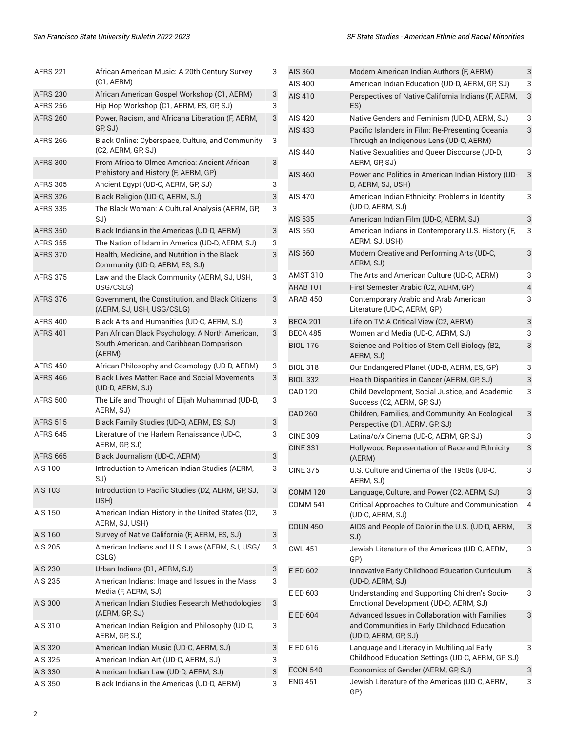| <b>AFRS 221</b> | African American Music: A 20th Century Survey<br>(C1, AERM)                                           | 3 |
|-----------------|-------------------------------------------------------------------------------------------------------|---|
| <b>AFRS 230</b> | African American Gospel Workshop (C1, AERM)                                                           | 3 |
| <b>AFRS 256</b> | Hip Hop Workshop (C1, AERM, ES, GP, SJ)                                                               | 3 |
| <b>AFRS 260</b> | Power, Racism, and Africana Liberation (F, AERM,<br>GP, SJ)                                           | 3 |
| <b>AFRS 266</b> | Black Online: Cyberspace, Culture, and Community<br>(C2, AERM, GP, SJ)                                | 3 |
| <b>AFRS 300</b> | From Africa to Olmec America: Ancient African<br>Prehistory and History (F, AERM, GP)                 | 3 |
| <b>AFRS 305</b> | Ancient Egypt (UD-C, AERM, GP, SJ)                                                                    | 3 |
| <b>AFRS 326</b> | Black Religion (UD-C, AERM, SJ)                                                                       | 3 |
| <b>AFRS 335</b> | The Black Woman: A Cultural Analysis (AERM, GP,<br>SJ)                                                | 3 |
| <b>AFRS 350</b> | Black Indians in the Americas (UD-D, AERM)                                                            | 3 |
| <b>AFRS 355</b> | The Nation of Islam in America (UD-D, AERM, SJ)                                                       | 3 |
| <b>AFRS 370</b> | Health, Medicine, and Nutrition in the Black<br>Community (UD-D, AERM, ES, SJ)                        | 3 |
| <b>AFRS 375</b> | Law and the Black Community (AERM, SJ, USH,<br>USG/CSLG)                                              | 3 |
| <b>AFRS 376</b> | Government, the Constitution, and Black Citizens<br>(AERM, SJ, USH, USG/CSLG)                         | 3 |
| <b>AFRS 400</b> | Black Arts and Humanities (UD-C, AERM, SJ)                                                            | 3 |
| <b>AFRS 401</b> | Pan African Black Psychology: A North American,<br>South American, and Caribbean Comparison<br>(AERM) | 3 |
| <b>AFRS 450</b> | African Philosophy and Cosmology (UD-D, AERM)                                                         | 3 |
| <b>AFRS 466</b> | <b>Black Lives Matter: Race and Social Movements</b><br>(UD-D, AERM, SJ)                              | 3 |
| <b>AFRS 500</b> | The Life and Thought of Elijah Muhammad (UD-D,<br>AERM, SJ)                                           | 3 |
| <b>AFRS 515</b> | Black Family Studies (UD-D, AERM, ES, SJ)                                                             | 3 |
| <b>AFRS 645</b> | Literature of the Harlem Renaissance (UD-C,<br>AERM, GP, SJ)                                          | 3 |
| <b>AFRS 665</b> | Black Journalism (UD-C, AERM)                                                                         | 3 |
| AIS 100         | Introduction to American Indian Studies (AERM,<br>SJ)                                                 | 3 |
| <b>AIS 103</b>  | Introduction to Pacific Studies (D2, AERM, GP, SJ,<br>USH)                                            | 3 |
| <b>AIS 150</b>  | American Indian History in the United States (D2,<br>AERM, SJ, USH)                                   | 3 |
| <b>AIS 160</b>  | Survey of Native California (F, AERM, ES, SJ)                                                         | 3 |
| AIS 205         | American Indians and U.S. Laws (AERM, SJ, USG/<br>CSLG)                                               | 3 |
| <b>AIS 230</b>  | Urban Indians (D1, AERM, SJ)                                                                          | 3 |
| AIS 235         | American Indians: Image and Issues in the Mass<br>Media (F, AERM, SJ)                                 | 3 |
| <b>AIS 300</b>  | American Indian Studies Research Methodologies<br>(AERM, GP, SJ)                                      | 3 |
| AIS 310         | American Indian Religion and Philosophy (UD-C,<br>AERM, GP, SJ)                                       | 3 |
| <b>AIS 320</b>  | American Indian Music (UD-C, AERM, SJ)                                                                | 3 |
| AIS 325         | American Indian Art (UD-C, AERM, SJ)                                                                  | 3 |
| AIS 330         | American Indian Law (UD-D, AERM, SJ)                                                                  | 3 |
| AIS 350         | Black Indians in the Americas (UD-D, AERM)                                                            | 3 |

| AIS 360         | Modern American Indian Authors (F, AERM)                                                                               | 3 |
|-----------------|------------------------------------------------------------------------------------------------------------------------|---|
| AIS 400         | American Indian Education (UD-D, AERM, GP, SJ)                                                                         | 3 |
| AIS 410         | Perspectives of Native California Indians (F, AERM,<br>ES)                                                             | 3 |
| AIS 420         | Native Genders and Feminism (UD-D, AERM, SJ)                                                                           | 3 |
| AIS 433         | Pacific Islanders in Film: Re-Presenting Oceania<br>Through an Indigenous Lens (UD-C, AERM)                            | 3 |
| AIS 440         | Native Sexualities and Queer Discourse (UD-D,<br>AERM, GP, SJ)                                                         | 3 |
| AIS 460         | Power and Politics in American Indian History (UD-<br>D, AERM, SJ, USH)                                                | 3 |
| AIS 470         | American Indian Ethnicity: Problems in Identity<br>(UD-D, AERM, SJ)                                                    | 3 |
| <b>AIS 535</b>  | American Indian Film (UD-C, AERM, SJ)                                                                                  | 3 |
| AIS 550         | American Indians in Contemporary U.S. History (F,<br>AERM, SJ, USH)                                                    | 3 |
| AIS 560         | Modern Creative and Performing Arts (UD-C,<br>AERM, SJ)                                                                | 3 |
| AMST 310        | The Arts and American Culture (UD-C, AERM)                                                                             | 3 |
| ARAB 101        | First Semester Arabic (C2, AERM, GP)                                                                                   | 4 |
| ARAB 450        | Contemporary Arabic and Arab American<br>Literature (UD-C, AERM, GP)                                                   | 3 |
| <b>BECA 201</b> | Life on TV: A Critical View (C2, AERM)                                                                                 | 3 |
| <b>BECA 485</b> | Women and Media (UD-C, AERM, SJ)                                                                                       | 3 |
| <b>BIOL 176</b> | Science and Politics of Stem Cell Biology (B2,<br>AERM, SJ)                                                            | 3 |
| <b>BIOL 318</b> | Our Endangered Planet (UD-B, AERM, ES, GP)                                                                             | 3 |
| <b>BIOL 332</b> | Health Disparities in Cancer (AERM, GP, SJ)                                                                            | 3 |
| <b>CAD 120</b>  | Child Development, Social Justice, and Academic<br>Success (C2, AERM, GP, SJ)                                          | 3 |
| <b>CAD 260</b>  | Children, Families, and Community: An Ecological<br>Perspective (D1, AERM, GP, SJ)                                     | 3 |
| <b>CINE 309</b> | Latina/o/x Cinema (UD-C, AERM, GP, SJ)                                                                                 | 3 |
| <b>CINE 331</b> | Hollywood Representation of Race and Ethnicity<br>(AERM)                                                               | 3 |
| <b>CINE 375</b> | U.S. Culture and Cinema of the 1950s (UD-C,<br>AERM, SJ)                                                               | 3 |
| <b>COMM 120</b> | Language, Culture, and Power (C2, AERM, SJ)                                                                            | 3 |
| <b>COMM 541</b> | Critical Approaches to Culture and Communication<br>(UD-C, AERM, SJ)                                                   | 4 |
| <b>COUN 450</b> | AIDS and People of Color in the U.S. (UD-D, AERM,<br>SJ)                                                               | 3 |
| <b>CWL 451</b>  | Jewish Literature of the Americas (UD-C, AERM,<br>GP)                                                                  | 3 |
| E ED 602        | Innovative Early Childhood Education Curriculum<br>(UD-D, AERM, SJ)                                                    | 3 |
| E ED 603        | Understanding and Supporting Children's Socio-<br>Emotional Development (UD-D, AERM, SJ)                               | 3 |
| E ED 604        | Advanced Issues in Collaboration with Families<br>and Communities in Early Childhood Education<br>(UD-D, AERM, GP, SJ) | 3 |
| E ED 616        | Language and Literacy in Multilingual Early<br>Childhood Education Settings (UD-C, AERM, GP, SJ)                       | 3 |
| <b>ECON 540</b> | Economics of Gender (AERM, GP, SJ)                                                                                     | 3 |
| <b>ENG 451</b>  | Jewish Literature of the Americas (UD-C, AERM,<br>GP)                                                                  | 3 |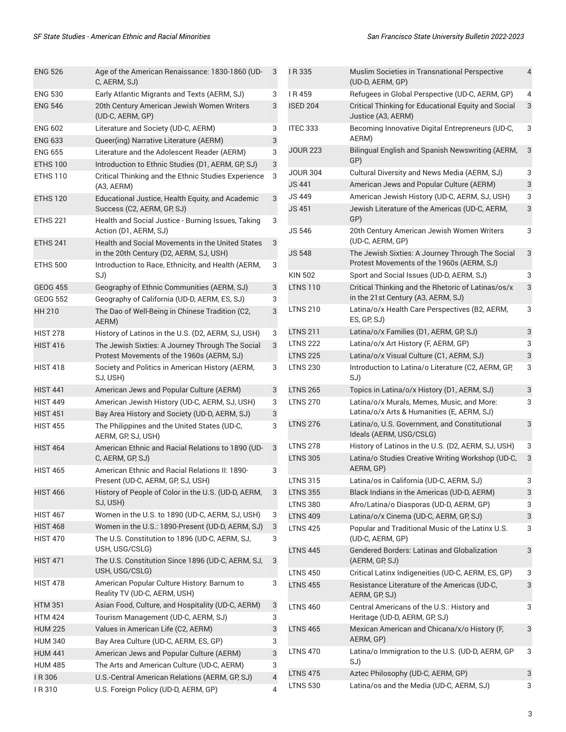| <b>ENG 526</b>  | Age of the American Renaissance: 1830-1860 (UD-<br>C, AERM, SJ)                               | 3              |
|-----------------|-----------------------------------------------------------------------------------------------|----------------|
| <b>ENG 530</b>  | Early Atlantic Migrants and Texts (AERM, SJ)                                                  | 3              |
| <b>ENG 546</b>  | 20th Century American Jewish Women Writers<br>(UD-C, AERM, GP)                                | 3              |
| <b>ENG 602</b>  | Literature and Society (UD-C, AERM)                                                           | 3              |
| <b>ENG 633</b>  | Queer(ing) Narrative Literature (AERM)                                                        | 3              |
| <b>ENG 655</b>  | Literature and the Adolescent Reader (AERM)                                                   | 3              |
| <b>ETHS 100</b> | Introduction to Ethnic Studies (D1, AERM, GP, SJ)                                             | 3              |
| <b>ETHS 110</b> | Critical Thinking and the Ethnic Studies Experience<br>(A3, AERM)                             | 3              |
| <b>ETHS 120</b> | Educational Justice, Health Equity, and Academic<br>Success (C2, AERM, GP, SJ)                | 3              |
| <b>ETHS 221</b> | Health and Social Justice - Burning Issues, Taking<br>Action (D1, AERM, SJ)                   | 3              |
| <b>ETHS 241</b> | Health and Social Movements in the United States<br>in the 20th Century (D2, AERM, SJ, USH)   | 3              |
| <b>ETHS 500</b> | Introduction to Race, Ethnicity, and Health (AERM,<br>SJ)                                     | 3              |
| <b>GEOG 455</b> | Geography of Ethnic Communities (AERM, SJ)                                                    | 3              |
| <b>GEOG 552</b> | Geography of California (UD-D, AERM, ES, SJ)                                                  | 3              |
| <b>HH 210</b>   | The Dao of Well-Being in Chinese Tradition (C2,<br>AERM)                                      | 3              |
| <b>HIST 278</b> | History of Latinos in the U.S. (D2, AERM, SJ, USH)                                            | 3              |
| <b>HIST 416</b> | The Jewish Sixties: A Journey Through The Social<br>Protest Movements of the 1960s (AERM, SJ) | 3              |
| <b>HIST 418</b> | Society and Politics in American History (AERM,<br>SJ, USH)                                   | 3              |
| <b>HIST 441</b> | American Jews and Popular Culture (AERM)                                                      | 3              |
| <b>HIST 449</b> | American Jewish History (UD-C, AERM, SJ, USH)                                                 | 3              |
| <b>HIST 451</b> | Bay Area History and Society (UD-D, AERM, SJ)                                                 | 3              |
| <b>HIST 455</b> | The Philippines and the United States (UD-C,<br>AERM, GP, SJ, USH)                            | 3              |
| <b>HIST 464</b> | American Ethnic and Racial Relations to 1890 (UD-<br>C, AERM, GP, SJ)                         | 3              |
| <b>HIST 465</b> | American Ethnic and Racial Relations II: 1890-<br>Present (UD-C, AERM, GP, SJ, USH)           | 3              |
| <b>HIST 466</b> | History of People of Color in the U.S. (UD-D, AERM,<br>SJ, USH)                               | 3              |
| <b>HIST 467</b> | Women in the U.S. to 1890 (UD-C, AERM, SJ, USH)                                               | 3              |
| <b>HIST 468</b> | Women in the U.S.: 1890-Present (UD-D, AERM, SJ)                                              | 3              |
| <b>HIST 470</b> | The U.S. Constitution to 1896 (UD-C, AERM, SJ,<br>USH, USG/CSLG)                              | 3              |
| <b>HIST 471</b> | The U.S. Constitution Since 1896 (UD-C, AERM, SJ,<br>USH, USG/CSLG)                           | 3              |
| <b>HIST 478</b> | American Popular Culture History: Barnum to<br>Reality TV (UD-C, AERM, USH)                   | 3              |
| <b>HTM 351</b>  | Asian Food, Culture, and Hospitality (UD-C, AERM)                                             | 3              |
| <b>HTM 424</b>  | Tourism Management (UD-C, AERM, SJ)                                                           | 3              |
| <b>HUM 225</b>  | Values in American Life (C2, AERM)                                                            | 3              |
| <b>HUM 340</b>  | Bay Area Culture (UD-C, AERM, ES, GP)                                                         | 3              |
| <b>HUM 441</b>  | American Jews and Popular Culture (AERM)                                                      | 3              |
| <b>HUM 485</b>  | The Arts and American Culture (UD-C, AERM)                                                    | 3              |
| IR 306          | U.S.-Central American Relations (AERM, GP, SJ)                                                | $\overline{4}$ |

I R 310 U.S. Foreign Policy (UD-D, AERM, GP) 4

| I R 335         | Muslim Societies in Transnational Perspective<br>(UD-D, AERM, GP)                             | 4 |
|-----------------|-----------------------------------------------------------------------------------------------|---|
| IR459           | Refugees in Global Perspective (UD-C, AERM, GP)                                               | 4 |
| <b>ISED 204</b> | Critical Thinking for Educational Equity and Social<br>Justice (A3, AERM)                     | 3 |
| ITEC 333        | Becoming Innovative Digital Entrepreneurs (UD-C,<br>AERM)                                     | 3 |
| <b>JOUR 223</b> | Bilingual English and Spanish Newswriting (AERM,<br>GP)                                       | 3 |
| <b>JOUR 304</b> | Cultural Diversity and News Media (AERM, SJ)                                                  | 3 |
| <b>JS 441</b>   | American Jews and Popular Culture (AERM)                                                      | 3 |
| <b>JS 449</b>   | American Jewish History (UD-C, AERM, SJ, USH)                                                 | 3 |
| <b>JS 451</b>   | Jewish Literature of the Americas (UD-C, AERM,<br>GP)                                         | 3 |
| <b>JS 546</b>   | 20th Century American Jewish Women Writers<br>(UD-C, AERM, GP)                                | 3 |
| <b>JS 548</b>   | The Jewish Sixties: A Journey Through The Social<br>Protest Movements of the 1960s (AERM, SJ) | 3 |
| <b>KIN 502</b>  | Sport and Social Issues (UD-D, AERM, SJ)                                                      | 3 |
| <b>LTNS 110</b> | Critical Thinking and the Rhetoric of Latinas/os/x<br>in the 21st Century (A3, AERM, SJ)      | 3 |
| <b>LTNS 210</b> | Latina/o/x Health Care Perspectives (B2, AERM,<br>ES, GP, SJ)                                 | 3 |
| <b>LTNS 211</b> | Latina/o/x Families (D1, AERM, GP, SJ)                                                        | 3 |
| <b>LTNS 222</b> | Latina/o/x Art History (F, AERM, GP)                                                          | 3 |
| <b>LTNS 225</b> | Latina/o/x Visual Culture (C1, AERM, SJ)                                                      | 3 |
| <b>LTNS 230</b> | Introduction to Latina/o Literature (C2, AERM, GP,<br>SJ)                                     | 3 |
| <b>LTNS 265</b> | Topics in Latina/o/x History (D1, AERM, SJ)                                                   | 3 |
| <b>LTNS 270</b> | Latina/o/x Murals, Memes, Music, and More:<br>Latina/o/x Arts & Humanities (E, AERM, SJ)      | 3 |
| <b>LTNS 276</b> | Latina/o, U.S. Government, and Constitutional<br>Ideals (AERM, USG/CSLG)                      | 3 |
| <b>LTNS 278</b> | History of Latinos in the U.S. (D2, AERM, SJ, USH)                                            | 3 |
| <b>LTNS 305</b> | Latina/o Studies Creative Writing Workshop (UD-C,<br>AERM, GP)                                | 3 |
| <b>LTNS 315</b> | Latina/os in California (UD-C, AERM, SJ)                                                      | 3 |
| <b>LTNS 355</b> | Black Indians in the Americas (UD-D, AERM)                                                    | 3 |
| <b>LTNS 380</b> | Afro/Latina/o Diasporas (UD-D, AERM, GP)                                                      | 3 |
| <b>LTNS 409</b> | Latina/o/x Cinema (UD-C, AERM, GP, SJ)                                                        | 3 |
| <b>LTNS 425</b> | Popular and Traditional Music of the Latinx U.S.<br>(UD-C, AERM, GP)                          | 3 |
| <b>LTNS 445</b> | <b>Gendered Borders: Latinas and Globalization</b><br>(AERM, GP, SJ)                          | 3 |
| <b>LTNS 450</b> | Critical Latinx Indigeneities (UD-C, AERM, ES, GP)                                            | 3 |
| <b>LTNS 455</b> | Resistance Literature of the Americas (UD-C,<br>AERM, GP, SJ)                                 | 3 |
| <b>LTNS 460</b> | Central Americans of the U.S.: History and<br>Heritage (UD-D, AERM, GP, SJ)                   | 3 |
| <b>LTNS 465</b> | Mexican American and Chicana/x/o History (F,<br>AERM, GP)                                     | 3 |
| <b>LTNS 470</b> | Latina/o Immigration to the U.S. (UD-D, AERM, GP<br>SJ)                                       | 3 |
| <b>LTNS 475</b> | Aztec Philosophy (UD-C, AERM, GP)                                                             | 3 |
| <b>LTNS 530</b> | Latina/os and the Media (UD-C, AERM, SJ)                                                      | 3 |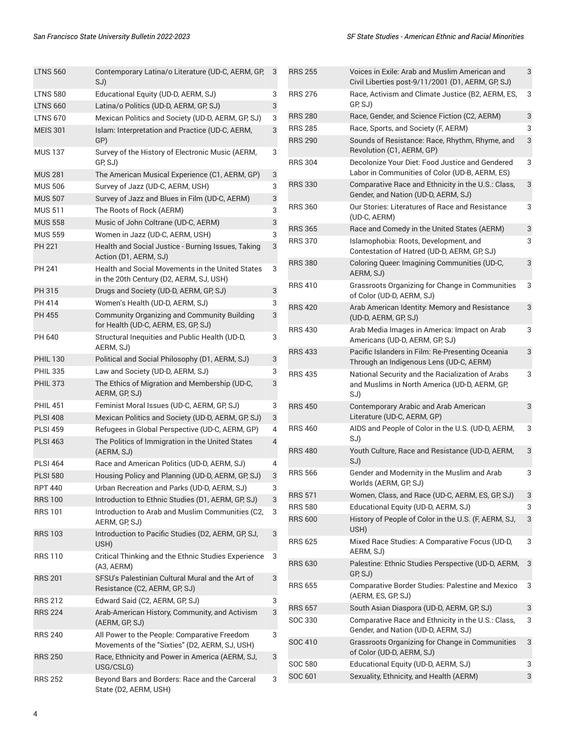| <b>LTNS 560</b> | Contemporary Latina/o Literature (UD-C, AERM, GP,<br>SJ)                                       | 3 |
|-----------------|------------------------------------------------------------------------------------------------|---|
| LTNS 580        | Educational Equity (UD-D, AERM, SJ)                                                            | 3 |
| <b>LTNS 660</b> | Latina/o Politics (UD-D, AERM, GP, SJ)                                                         | 3 |
| <b>LTNS 670</b> | Mexican Politics and Society (UD-D, AERM, GP, SJ)                                              | 3 |
| <b>MEIS 301</b> | Islam: Interpretation and Practice (UD-C, AERM,<br>GP)                                         | 3 |
| <b>MUS 137</b>  | Survey of the History of Electronic Music (AERM,<br>GP, SJ)                                    | 3 |
| <b>MUS 281</b>  | The American Musical Experience (C1, AERM, GP)                                                 | 3 |
| <b>MUS 506</b>  | Survey of Jazz (UD-C, AERM, USH)                                                               | 3 |
| <b>MUS 507</b>  | Survey of Jazz and Blues in Film (UD-C, AERM)                                                  | 3 |
| <b>MUS 511</b>  | The Roots of Rock (AERM)                                                                       | 3 |
| <b>MUS 558</b>  | Music of John Coltrane (UD-C, AERM)                                                            | 3 |
| <b>MUS 559</b>  | Women in Jazz (UD-C, AERM, USH)                                                                | 3 |
| <b>PH 221</b>   | Health and Social Justice - Burning Issues, Taking<br>Action (D1, AERM, SJ)                    | 3 |
| PH 241          | Health and Social Movements in the United States<br>in the 20th Century (D2, AERM, SJ, USH)    | 3 |
| PH 315          | Drugs and Society (UD-D, AERM, GP, SJ)                                                         | 3 |
| PH 414          | Women's Health (UD-D, AERM, SJ)                                                                | 3 |
| <b>PH 455</b>   | <b>Community Organizing and Community Building</b><br>for Health (UD-C, AERM, ES, GP, SJ)      | 3 |
| PH 640          | Structural Inequities and Public Health (UD-D,<br>AERM, SJ)                                    | 3 |
| <b>PHIL 130</b> | Political and Social Philosophy (D1, AERM, SJ)                                                 | 3 |
| <b>PHIL 335</b> | Law and Society (UD-D, AERM, SJ)                                                               | 3 |
| <b>PHIL 373</b> | The Ethics of Migration and Membership (UD-C,<br>AERM, GP, SJ)                                 | 3 |
| <b>PHIL 451</b> | Feminist Moral Issues (UD-C, AERM, GP, SJ)                                                     | 3 |
| <b>PLSI 408</b> | Mexican Politics and Society (UD-D, AERM, GP, SJ)                                              | 3 |
| <b>PLSI 459</b> | Refugees in Global Perspective (UD-C, AERM, GP)                                                | 4 |
| <b>PLSI 463</b> | The Politics of Immigration in the United States<br>(AERM, SJ)                                 | 4 |
| <b>PLSI 464</b> | Race and American Politics (UD-D, AERM, SJ)                                                    | 4 |
| <b>PLSI 580</b> | Housing Policy and Planning (UD-D, AERM, GP, SJ)                                               | 3 |
| RPT 440         | Urban Recreation and Parks (UD-D, AERM, SJ)                                                    | 3 |
| <b>RRS 100</b>  | Introduction to Ethnic Studies (D1, AERM, GP, SJ)                                              | 3 |
| RRS 101         | Introduction to Arab and Muslim Communities (C2,<br>AERM, GP, SJ)                              | 3 |
| RRS 103         | Introduction to Pacific Studies (D2, AERM, GP, SJ,<br>USH)                                     | 3 |
| <b>RRS 110</b>  | Critical Thinking and the Ethnic Studies Experience<br>(A3, AERM)                              | 3 |
| <b>RRS 201</b>  | SFSU's Palestinian Cultural Mural and the Art of<br>Resistance (C2, AERM, GP, SJ)              | 3 |
| RRS 212         | Edward Said (C2, AERM, GP, SJ)                                                                 | 3 |
| <b>RRS 224</b>  | Arab-American History, Community, and Activism<br>(AERM, GP, SJ)                               | 3 |
| <b>RRS 240</b>  | All Power to the People: Comparative Freedom<br>Movements of the "Sixties" (D2, AERM, SJ, USH) | 3 |
| <b>RRS 250</b>  | Race, Ethnicity and Power in America (AERM, SJ,<br>USG/CSLG)                                   | 3 |
| <b>RRS 252</b>  | Beyond Bars and Borders: Race and the Carceral<br>State (D2, AERM, USH)                        | 3 |

| <b>RRS 255</b> | Voices in Exile: Arab and Muslim American and<br>Civil Liberties post-9/11/2001 (D1, AERM, GP, SJ)       | 3 |
|----------------|----------------------------------------------------------------------------------------------------------|---|
| <b>RRS 276</b> | Race, Activism and Climate Justice (B2, AERM, ES,<br>GP, SJ)                                             | 3 |
| <b>RRS 280</b> | Race, Gender, and Science Fiction (C2, AERM)                                                             | 3 |
| <b>RRS 285</b> | Race, Sports, and Society (F, AERM)                                                                      | 3 |
| <b>RRS 290</b> | Sounds of Resistance: Race, Rhythm, Rhyme, and<br>Revolution (C1, AERM, GP)                              | 3 |
| <b>RRS 304</b> | Decolonize Your Diet: Food Justice and Gendered<br>Labor in Communities of Color (UD-B, AERM, ES)        | 3 |
| <b>RRS 330</b> | Comparative Race and Ethnicity in the U.S.: Class,<br>Gender, and Nation (UD-D, AERM, SJ)                | 3 |
| <b>RRS 360</b> | Our Stories: Literatures of Race and Resistance<br>(UD-C, AERM)                                          | 3 |
| <b>RRS 365</b> | Race and Comedy in the United States (AERM)                                                              | 3 |
| <b>RRS 370</b> | Islamophobia: Roots, Development, and<br>Contestation of Hatred (UD-D, AERM, GP, SJ)                     | 3 |
| <b>RRS 380</b> | Coloring Queer: Imagining Communities (UD-C,<br>AERM, SJ)                                                | 3 |
| <b>RRS 410</b> | Grassroots Organizing for Change in Communities<br>of Color (UD-D, AERM, SJ)                             | 3 |
| <b>RRS 420</b> | Arab American Identity: Memory and Resistance<br>(UD-D, AERM, GP, SJ)                                    | 3 |
| <b>RRS 430</b> | Arab Media Images in America: Impact on Arab<br>Americans (UD-D, AERM, GP, SJ)                           | 3 |
| <b>RRS 433</b> | Pacific Islanders in Film: Re-Presenting Oceania<br>Through an Indigenous Lens (UD-C, AERM)              | 3 |
| <b>RRS 435</b> | National Security and the Racialization of Arabs<br>and Muslims in North America (UD-D, AERM, GP,<br>SJ) | 3 |
| <b>RRS 450</b> | Contemporary Arabic and Arab American<br>Literature (UD-C, AERM, GP)                                     | 3 |
| <b>RRS 460</b> | AIDS and People of Color in the U.S. (UD-D, AERM,<br>SJ)                                                 | 3 |
| <b>RRS 480</b> | Youth Culture, Race and Resistance (UD-D, AERM,<br>SJ)                                                   | 3 |
| <b>RRS 566</b> | Gender and Modernity in the Muslim and Arab<br>Worlds (AERM, GP, SJ)                                     | 3 |
| <b>RRS 571</b> | Women, Class, and Race (UD-C, AERM, ES, GP, SJ)                                                          | 3 |
| <b>RRS 580</b> | Educational Equity (UD-D, AERM, SJ)                                                                      | 3 |
| <b>RRS 600</b> | History of People of Color in the U.S. (F, AERM, SJ,<br>USH)                                             | 3 |
| <b>RRS 625</b> | Mixed Race Studies: A Comparative Focus (UD-D,<br>AERM, SJ)                                              | 3 |
| <b>RRS 630</b> | Palestine: Ethnic Studies Perspective (UD-D, AERM,<br>GP, SJ)                                            | 3 |
| <b>RRS 655</b> | Comparative Border Studies: Palestine and Mexico<br>(AERM, ES, GP, SJ)                                   | 3 |
| <b>RRS 657</b> | South Asian Diaspora (UD-D, AERM, GP, SJ)                                                                | 3 |
| SOC 330        | Comparative Race and Ethnicity in the U.S.: Class,<br>Gender, and Nation (UD-D, AERM, SJ)                | 3 |
| SOC 410        | Grassroots Organizing for Change in Communities<br>of Color (UD-D, AERM, SJ)                             | 3 |
| <b>SOC 580</b> | Educational Equity (UD-D, AERM, SJ)                                                                      | 3 |
| SOC 601        | Sexuality, Ethnicity, and Health (AERM)                                                                  | 3 |